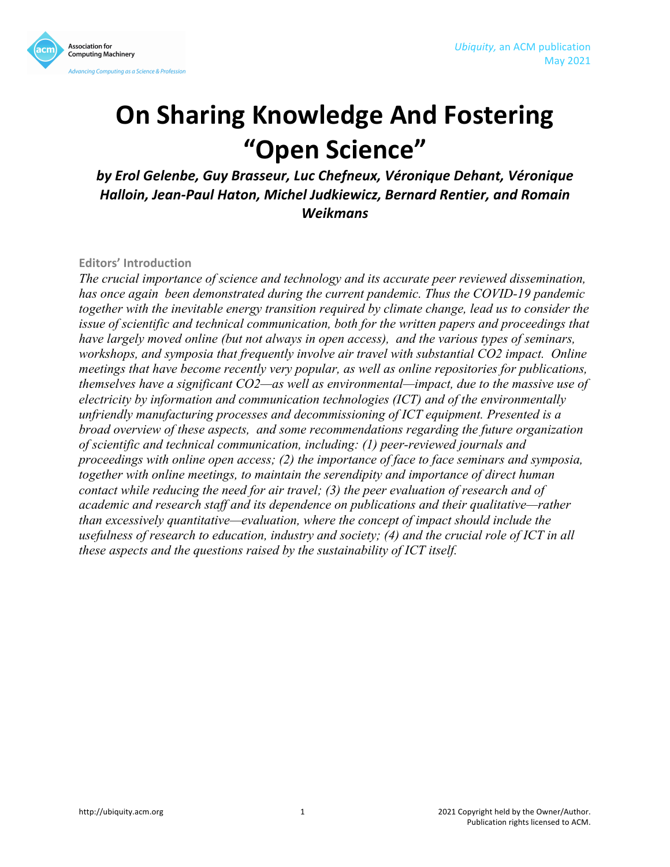



# **On Sharing Knowledge And Fostering "Open Science"**

by Erol Gelenbe, Guy Brasseur, Luc Chefneux, Véronique Dehant, Véronique **Halloin, Jean-Paul Haton, Michel Judkiewicz, Bernard Rentier, and Romain** *Weikmans*

**Editors' Introduction**

*The crucial importance of science and technology and its accurate peer reviewed dissemination, has once again been demonstrated during the current pandemic. Thus the COVID-19 pandemic together with the inevitable energy transition required by climate change, lead us to consider the issue of scientific and technical communication, both for the written papers and proceedings that have largely moved online (but not always in open access), and the various types of seminars, workshops, and symposia that frequently involve air travel with substantial CO2 impact. Online meetings that have become recently very popular, as well as online repositories for publications, themselves have a significant CO2—as well as environmental—impact, due to the massive use of electricity by information and communication technologies (ICT) and of the environmentally unfriendly manufacturing processes and decommissioning of ICT equipment. Presented is a broad overview of these aspects, and some recommendations regarding the future organization of scientific and technical communication, including: (1) peer-reviewed journals and proceedings with online open access; (2) the importance of face to face seminars and symposia, together with online meetings, to maintain the serendipity and importance of direct human contact while reducing the need for air travel; (3) the peer evaluation of research and of academic and research staff and its dependence on publications and their qualitative—rather than excessively quantitative—evaluation, where the concept of impact should include the usefulness of research to education, industry and society; (4) and the crucial role of ICT in all these aspects and the questions raised by the sustainability of ICT itself.*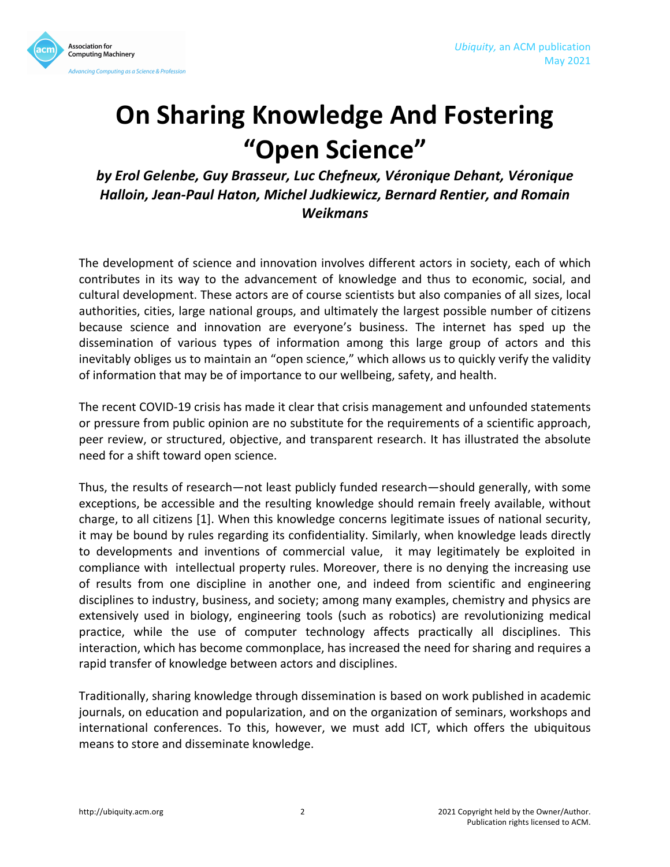

# **On Sharing Knowledge And Fostering "Open Science"**

by Erol Gelenbe, Guy Brasseur, Luc Chefneux, Véronique Dehant, Véronique **Halloin, Jean-Paul Haton, Michel Judkiewicz, Bernard Rentier, and Romain** *Weikmans*

The development of science and innovation involves different actors in society, each of which contributes in its way to the advancement of knowledge and thus to economic, social, and cultural development. These actors are of course scientists but also companies of all sizes, local authorities, cities, large national groups, and ultimately the largest possible number of citizens because science and innovation are everyone's business. The internet has sped up the dissemination of various types of information among this large group of actors and this inevitably obliges us to maintain an "open science," which allows us to quickly verify the validity of information that may be of importance to our wellbeing, safety, and health.

The recent COVID-19 crisis has made it clear that crisis management and unfounded statements or pressure from public opinion are no substitute for the requirements of a scientific approach, peer review, or structured, objective, and transparent research. It has illustrated the absolute need for a shift toward open science.

Thus, the results of research—not least publicly funded research—should generally, with some exceptions, be accessible and the resulting knowledge should remain freely available, without charge, to all citizens [1]. When this knowledge concerns legitimate issues of national security, it may be bound by rules regarding its confidentiality. Similarly, when knowledge leads directly to developments and inventions of commercial value, it may legitimately be exploited in compliance with intellectual property rules. Moreover, there is no denying the increasing use of results from one discipline in another one, and indeed from scientific and engineering disciplines to industry, business, and society; among many examples, chemistry and physics are extensively used in biology, engineering tools (such as robotics) are revolutionizing medical practice, while the use of computer technology affects practically all disciplines. This interaction, which has become commonplace, has increased the need for sharing and requires a rapid transfer of knowledge between actors and disciplines.

Traditionally, sharing knowledge through dissemination is based on work published in academic journals, on education and popularization, and on the organization of seminars, workshops and international conferences. To this, however, we must add ICT, which offers the ubiquitous means to store and disseminate knowledge.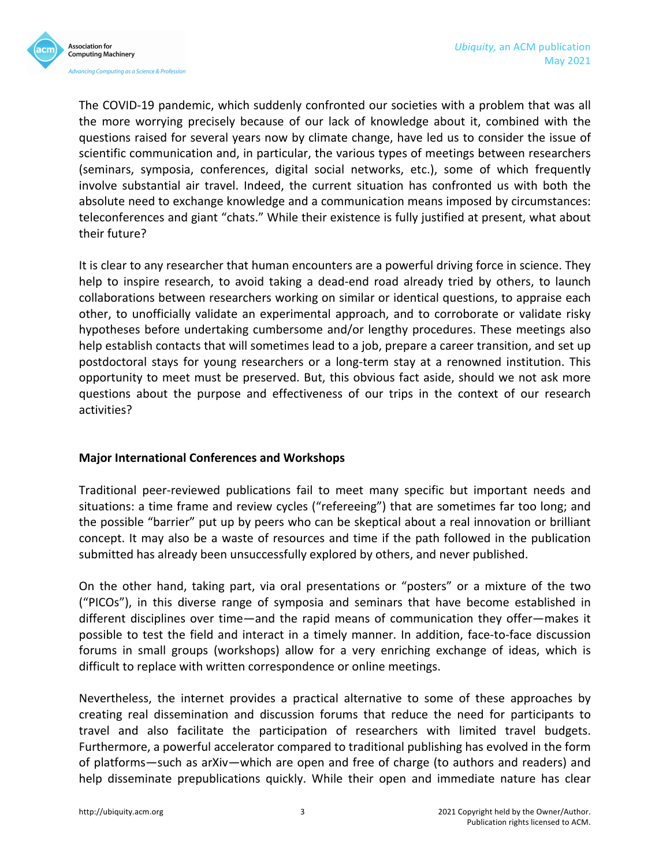The COVID-19 pandemic, which suddenly confronted our societies with a problem that was all the more worrying precisely because of our lack of knowledge about it, combined with the questions raised for several years now by climate change, have led us to consider the issue of scientific communication and, in particular, the various types of meetings between researchers (seminars, symposia, conferences, digital social networks, etc.), some of which frequently involve substantial air travel. Indeed, the current situation has confronted us with both the absolute need to exchange knowledge and a communication means imposed by circumstances: teleconferences and giant "chats." While their existence is fully justified at present, what about their future?

It is clear to any researcher that human encounters are a powerful driving force in science. They help to inspire research, to avoid taking a dead-end road already tried by others, to launch collaborations between researchers working on similar or identical questions, to appraise each other, to unofficially validate an experimental approach, and to corroborate or validate risky hypotheses before undertaking cumbersome and/or lengthy procedures. These meetings also help establish contacts that will sometimes lead to a job, prepare a career transition, and set up postdoctoral stays for young researchers or a long-term stay at a renowned institution. This opportunity to meet must be preserved. But, this obvious fact aside, should we not ask more questions about the purpose and effectiveness of our trips in the context of our research activities?

#### **Major International Conferences and Workshops**

Traditional peer-reviewed publications fail to meet many specific but important needs and situations: a time frame and review cycles ("refereeing") that are sometimes far too long; and the possible "barrier" put up by peers who can be skeptical about a real innovation or brilliant concept. It may also be a waste of resources and time if the path followed in the publication submitted has already been unsuccessfully explored by others, and never published.

On the other hand, taking part, via oral presentations or "posters" or a mixture of the two ("PICOs"), in this diverse range of symposia and seminars that have become established in different disciplines over time—and the rapid means of communication they offer—makes it possible to test the field and interact in a timely manner. In addition, face-to-face discussion forums in small groups (workshops) allow for a very enriching exchange of ideas, which is difficult to replace with written correspondence or online meetings.

Nevertheless, the internet provides a practical alternative to some of these approaches by creating real dissemination and discussion forums that reduce the need for participants to travel and also facilitate the participation of researchers with limited travel budgets. Furthermore, a powerful accelerator compared to traditional publishing has evolved in the form of platforms—such as arXiv—which are open and free of charge (to authors and readers) and help disseminate prepublications quickly. While their open and immediate nature has clear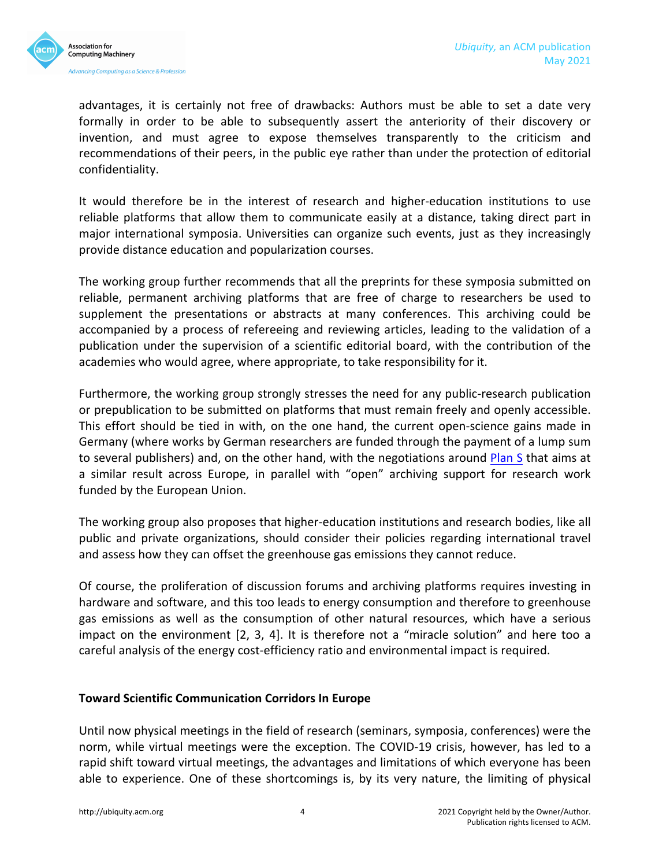

advantages, it is certainly not free of drawbacks: Authors must be able to set a date very formally in order to be able to subsequently assert the anteriority of their discovery or invention, and must agree to expose themselves transparently to the criticism and recommendations of their peers, in the public eye rather than under the protection of editorial confidentiality.

It would therefore be in the interest of research and higher-education institutions to use reliable platforms that allow them to communicate easily at a distance, taking direct part in major international symposia. Universities can organize such events, just as they increasingly provide distance education and popularization courses.

The working group further recommends that all the preprints for these symposia submitted on reliable, permanent archiving platforms that are free of charge to researchers be used to supplement the presentations or abstracts at many conferences. This archiving could be accompanied by a process of refereeing and reviewing articles, leading to the validation of a publication under the supervision of a scientific editorial board, with the contribution of the academies who would agree, where appropriate, to take responsibility for it.

Furthermore, the working group strongly stresses the need for any public-research publication or prepublication to be submitted on platforms that must remain freely and openly accessible. This effort should be tied in with, on the one hand, the current open-science gains made in Germany (where works by German researchers are funded through the payment of a lump sum to several publishers) and, on the other hand, with the negotiations around Plan S that aims at a similar result across Europe, in parallel with "open" archiving support for research work funded by the European Union.

The working group also proposes that higher-education institutions and research bodies, like all public and private organizations, should consider their policies regarding international travel and assess how they can offset the greenhouse gas emissions they cannot reduce.

Of course, the proliferation of discussion forums and archiving platforms requires investing in hardware and software, and this too leads to energy consumption and therefore to greenhouse gas emissions as well as the consumption of other natural resources, which have a serious impact on the environment  $[2, 3, 4]$ . It is therefore not a "miracle solution" and here too a careful analysis of the energy cost-efficiency ratio and environmental impact is required.

#### **Toward Scientific Communication Corridors In Europe**

Until now physical meetings in the field of research (seminars, symposia, conferences) were the norm, while virtual meetings were the exception. The COVID-19 crisis, however, has led to a rapid shift toward virtual meetings, the advantages and limitations of which everyone has been able to experience. One of these shortcomings is, by its very nature, the limiting of physical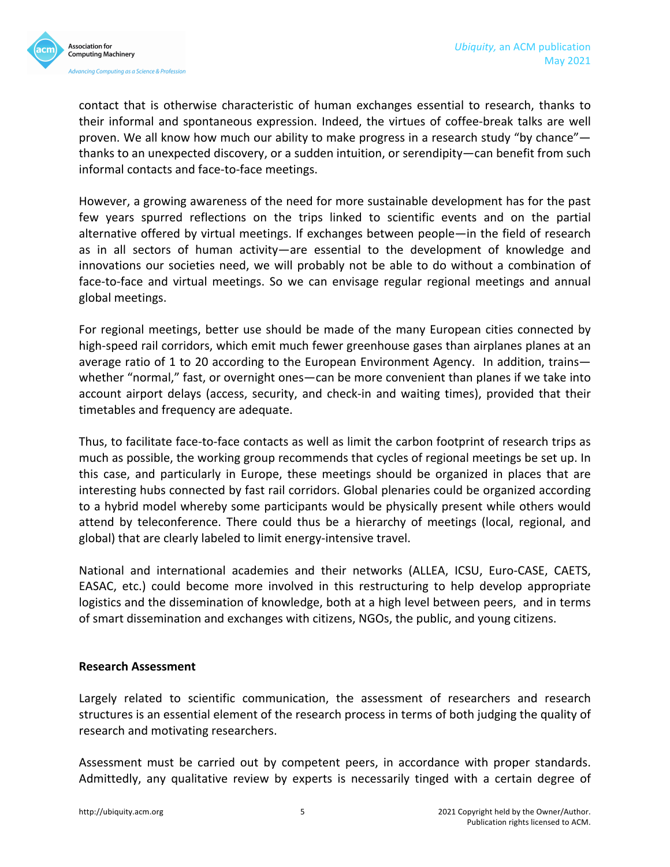

contact that is otherwise characteristic of human exchanges essential to research, thanks to their informal and spontaneous expression. Indeed, the virtues of coffee-break talks are well proven. We all know how much our ability to make progress in a research study "by chance" thanks to an unexpected discovery, or a sudden intuition, or serendipity—can benefit from such informal contacts and face-to-face meetings.

However, a growing awareness of the need for more sustainable development has for the past few years spurred reflections on the trips linked to scientific events and on the partial alternative offered by virtual meetings. If exchanges between people—in the field of research as in all sectors of human activity—are essential to the development of knowledge and innovations our societies need, we will probably not be able to do without a combination of face-to-face and virtual meetings. So we can envisage regular regional meetings and annual global meetings.

For regional meetings, better use should be made of the many European cities connected by high-speed rail corridors, which emit much fewer greenhouse gases than airplanes planes at an average ratio of 1 to 20 according to the European Environment Agency. In addition, trains whether "normal," fast, or overnight ones—can be more convenient than planes if we take into account airport delays (access, security, and check-in and waiting times), provided that their timetables and frequency are adequate.

Thus, to facilitate face-to-face contacts as well as limit the carbon footprint of research trips as much as possible, the working group recommends that cycles of regional meetings be set up. In this case, and particularly in Europe, these meetings should be organized in places that are interesting hubs connected by fast rail corridors. Global plenaries could be organized according to a hybrid model whereby some participants would be physically present while others would attend by teleconference. There could thus be a hierarchy of meetings (local, regional, and global) that are clearly labeled to limit energy-intensive travel.

National and international academies and their networks (ALLEA, ICSU, Euro-CASE, CAETS, EASAC, etc.) could become more involved in this restructuring to help develop appropriate logistics and the dissemination of knowledge, both at a high level between peers, and in terms of smart dissemination and exchanges with citizens, NGOs, the public, and young citizens.

#### **Research Assessment**

Largely related to scientific communication, the assessment of researchers and research structures is an essential element of the research process in terms of both judging the quality of research and motivating researchers.

Assessment must be carried out by competent peers, in accordance with proper standards. Admittedly, any qualitative review by experts is necessarily tinged with a certain degree of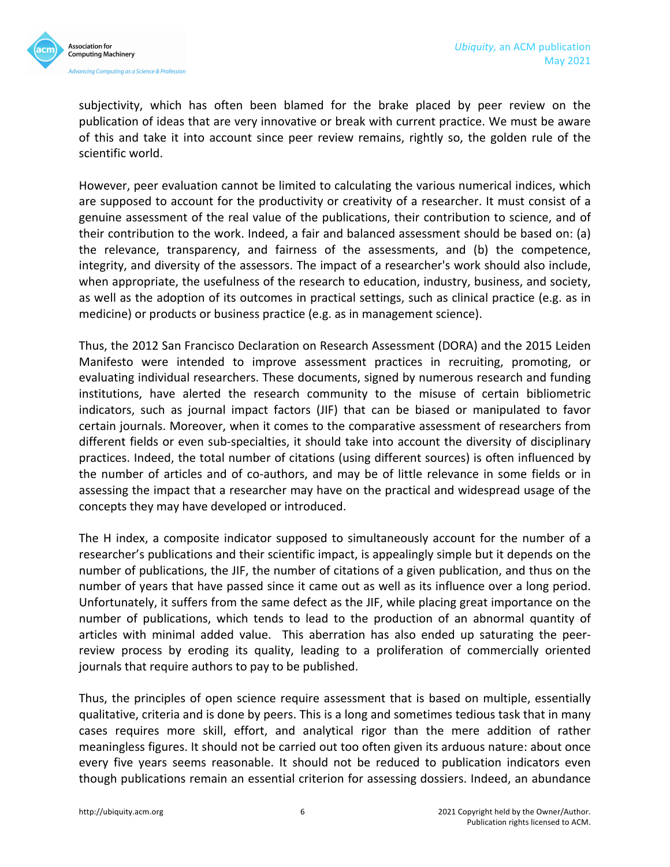

subjectivity, which has often been blamed for the brake placed by peer review on the publication of ideas that are very innovative or break with current practice. We must be aware of this and take it into account since peer review remains, rightly so, the golden rule of the scientific world.

However, peer evaluation cannot be limited to calculating the various numerical indices, which are supposed to account for the productivity or creativity of a researcher. It must consist of a genuine assessment of the real value of the publications, their contribution to science, and of their contribution to the work. Indeed, a fair and balanced assessment should be based on: (a) the relevance, transparency, and fairness of the assessments, and (b) the competence, integrity, and diversity of the assessors. The impact of a researcher's work should also include, when appropriate, the usefulness of the research to education, industry, business, and society, as well as the adoption of its outcomes in practical settings, such as clinical practice (e.g. as in medicine) or products or business practice (e.g. as in management science).

Thus, the 2012 San Francisco Declaration on Research Assessment (DORA) and the 2015 Leiden Manifesto were intended to improve assessment practices in recruiting, promoting, or evaluating individual researchers. These documents, signed by numerous research and funding institutions, have alerted the research community to the misuse of certain bibliometric indicators, such as journal impact factors (JIF) that can be biased or manipulated to favor certain journals. Moreover, when it comes to the comparative assessment of researchers from different fields or even sub-specialties, it should take into account the diversity of disciplinary practices. Indeed, the total number of citations (using different sources) is often influenced by the number of articles and of co-authors, and may be of little relevance in some fields or in assessing the impact that a researcher may have on the practical and widespread usage of the concepts they may have developed or introduced.

The H index, a composite indicator supposed to simultaneously account for the number of a researcher's publications and their scientific impact, is appealingly simple but it depends on the number of publications, the JIF, the number of citations of a given publication, and thus on the number of years that have passed since it came out as well as its influence over a long period. Unfortunately, it suffers from the same defect as the JIF, while placing great importance on the number of publications, which tends to lead to the production of an abnormal quantity of articles with minimal added value. This aberration has also ended up saturating the peerreview process by eroding its quality, leading to a proliferation of commercially oriented journals that require authors to pay to be published.

Thus, the principles of open science require assessment that is based on multiple, essentially qualitative, criteria and is done by peers. This is a long and sometimes tedious task that in many cases requires more skill, effort, and analytical rigor than the mere addition of rather meaningless figures. It should not be carried out too often given its arduous nature: about once every five years seems reasonable. It should not be reduced to publication indicators even though publications remain an essential criterion for assessing dossiers. Indeed, an abundance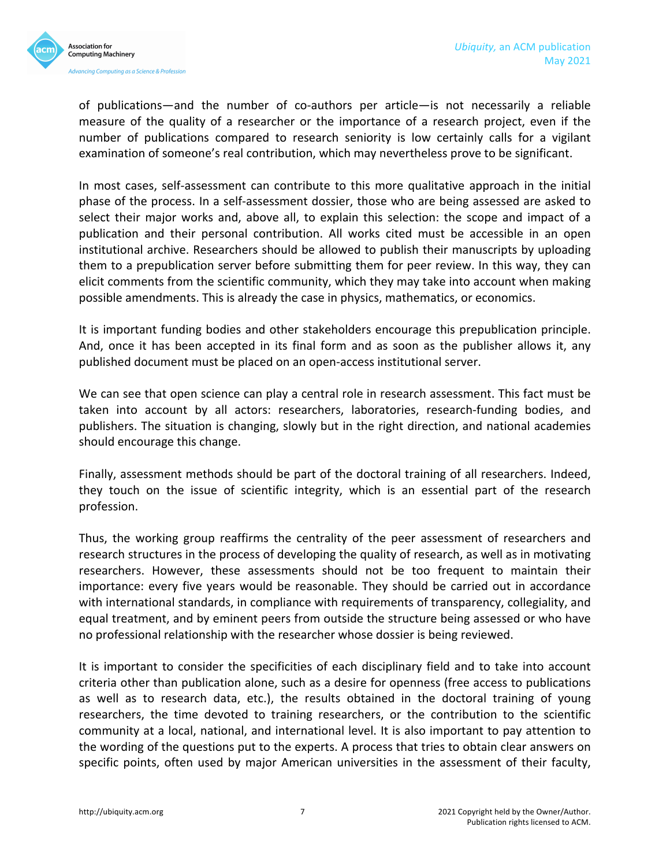

of publications—and the number of co-authors per article—is not necessarily a reliable measure of the quality of a researcher or the importance of a research project, even if the number of publications compared to research seniority is low certainly calls for a vigilant examination of someone's real contribution, which may nevertheless prove to be significant.

In most cases, self-assessment can contribute to this more qualitative approach in the initial phase of the process. In a self-assessment dossier, those who are being assessed are asked to select their major works and, above all, to explain this selection: the scope and impact of a publication and their personal contribution. All works cited must be accessible in an open institutional archive. Researchers should be allowed to publish their manuscripts by uploading them to a prepublication server before submitting them for peer review. In this way, they can elicit comments from the scientific community, which they may take into account when making possible amendments. This is already the case in physics, mathematics, or economics.

It is important funding bodies and other stakeholders encourage this prepublication principle. And, once it has been accepted in its final form and as soon as the publisher allows it, any published document must be placed on an open-access institutional server.

We can see that open science can play a central role in research assessment. This fact must be taken into account by all actors: researchers, laboratories, research-funding bodies, and publishers. The situation is changing, slowly but in the right direction, and national academies should encourage this change.

Finally, assessment methods should be part of the doctoral training of all researchers. Indeed, they touch on the issue of scientific integrity, which is an essential part of the research profession.

Thus, the working group reaffirms the centrality of the peer assessment of researchers and research structures in the process of developing the quality of research, as well as in motivating researchers. However, these assessments should not be too frequent to maintain their importance: every five years would be reasonable. They should be carried out in accordance with international standards, in compliance with requirements of transparency, collegiality, and equal treatment, and by eminent peers from outside the structure being assessed or who have no professional relationship with the researcher whose dossier is being reviewed.

It is important to consider the specificities of each disciplinary field and to take into account criteria other than publication alone, such as a desire for openness (free access to publications as well as to research data, etc.), the results obtained in the doctoral training of young researchers, the time devoted to training researchers, or the contribution to the scientific community at a local, national, and international level. It is also important to pay attention to the wording of the questions put to the experts. A process that tries to obtain clear answers on specific points, often used by major American universities in the assessment of their faculty,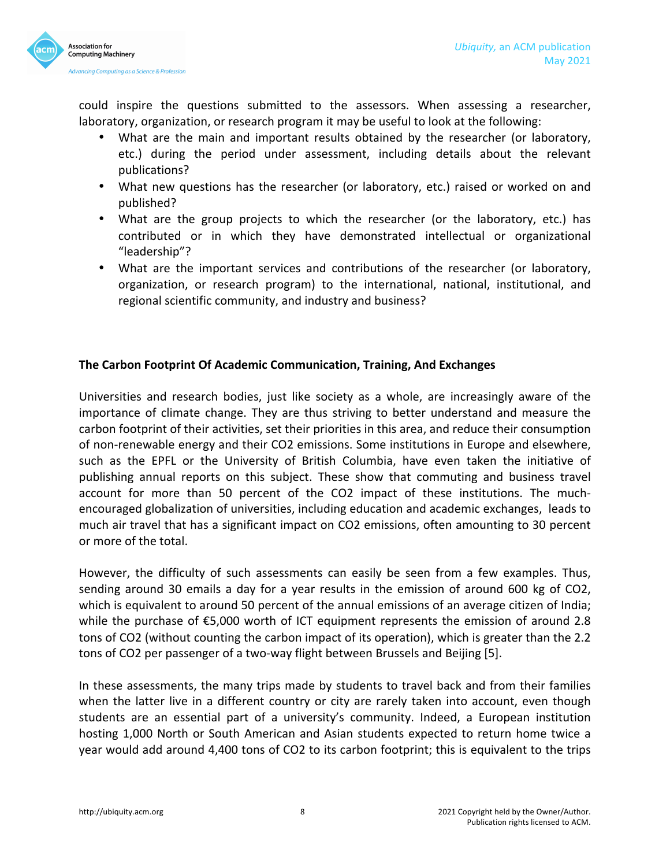

could inspire the questions submitted to the assessors. When assessing a researcher, laboratory, organization, or research program it may be useful to look at the following:

- What are the main and important results obtained by the researcher (or laboratory, etc.) during the period under assessment, including details about the relevant publications?
- What new questions has the researcher (or laboratory, etc.) raised or worked on and published?
- What are the group projects to which the researcher (or the laboratory, etc.) has contributed or in which they have demonstrated intellectual or organizational "leadership"?
- What are the important services and contributions of the researcher (or laboratory, organization, or research program) to the international, national, institutional, and regional scientific community, and industry and business?

### **The Carbon Footprint Of Academic Communication, Training, And Exchanges**

Universities and research bodies, just like society as a whole, are increasingly aware of the importance of climate change. They are thus striving to better understand and measure the carbon footprint of their activities, set their priorities in this area, and reduce their consumption of non-renewable energy and their CO2 emissions. Some institutions in Europe and elsewhere, such as the EPFL or the University of British Columbia, have even taken the initiative of publishing annual reports on this subject. These show that commuting and business travel account for more than 50 percent of the CO2 impact of these institutions. The muchencouraged globalization of universities, including education and academic exchanges, leads to much air travel that has a significant impact on CO2 emissions, often amounting to 30 percent or more of the total.

However, the difficulty of such assessments can easily be seen from a few examples. Thus, sending around 30 emails a day for a year results in the emission of around 600 kg of CO2, which is equivalent to around 50 percent of the annual emissions of an average citizen of India; while the purchase of  $\epsilon$ 5,000 worth of ICT equipment represents the emission of around 2.8 tons of CO2 (without counting the carbon impact of its operation), which is greater than the 2.2 tons of CO2 per passenger of a two-way flight between Brussels and Beijing [5].

In these assessments, the many trips made by students to travel back and from their families when the latter live in a different country or city are rarely taken into account, even though students are an essential part of a university's community. Indeed, a European institution hosting 1,000 North or South American and Asian students expected to return home twice a year would add around 4,400 tons of CO2 to its carbon footprint; this is equivalent to the trips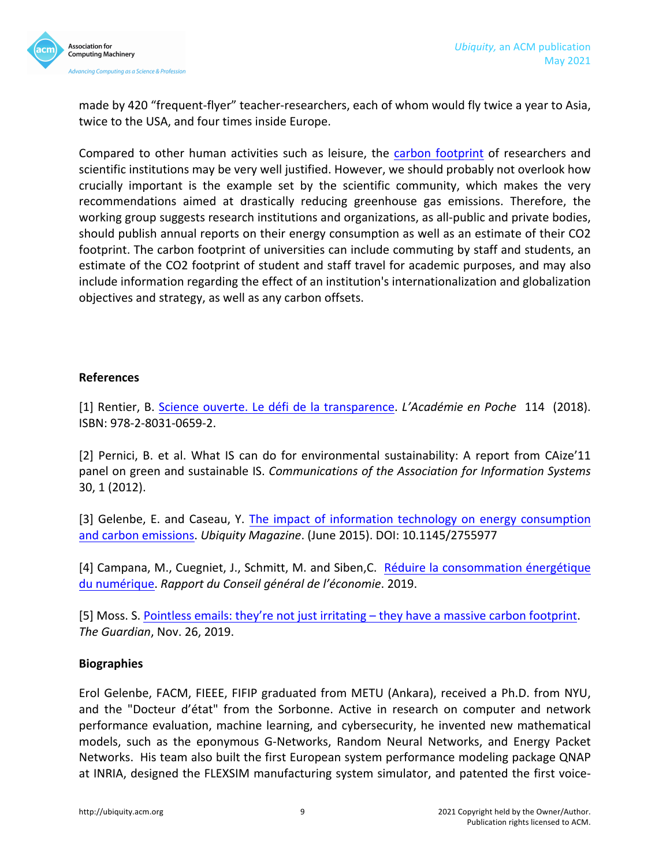

made by 420 "frequent-flyer" teacher-researchers, each of whom would fly twice a year to Asia, twice to the USA, and four times inside Europe.

Compared to other human activities such as leisure, the carbon footprint of researchers and scientific institutions may be very well justified. However, we should probably not overlook how crucially important is the example set by the scientific community, which makes the very recommendations aimed at drastically reducing greenhouse gas emissions. Therefore, the working group suggests research institutions and organizations, as all-public and private bodies, should publish annual reports on their energy consumption as well as an estimate of their CO2 footprint. The carbon footprint of universities can include commuting by staff and students, an estimate of the CO2 footprint of student and staff travel for academic purposes, and may also include information regarding the effect of an institution's internationalization and globalization objectives and strategy, as well as any carbon offsets.

#### **References**

[1] Rentier, B. Science ouverte. Le défi de la transparence. *L'Académie en Poche* 114 (2018). ISBN: 978-2-8031-0659-2.

[2] Pernici, B. et al. What IS can do for environmental sustainability: A report from CAize'11 panel on green and sustainable IS. *Communications of the Association for Information Systems* 30, 1 (2012).

[3] Gelenbe, E. and Caseau, Y. The impact of information technology on energy consumption and carbon emissions. *Ubiquity Magazine*. (June 2015). DOI: 10.1145/2755977

[4] Campana, M., Cuegniet, J., Schmitt, M. and Siben, C. Réduire la consommation énergétique du numérique. *Rapport du Conseil général de l'économie*. 2019.

[5] Moss. S. Pointless emails: they're not just irritating – they have a massive carbon footprint. *The Guardian*, Nov. 26, 2019.

#### **Biographies**

Erol Gelenbe, FACM, FIEEE, FIFIP graduated from METU (Ankara), received a Ph.D. from NYU, and the "Docteur d'état" from the Sorbonne. Active in research on computer and network performance evaluation, machine learning, and cybersecurity, he invented new mathematical models, such as the eponymous G-Networks, Random Neural Networks, and Energy Packet Networks. His team also built the first European system performance modeling package QNAP at INRIA, designed the FLEXSIM manufacturing system simulator, and patented the first voice-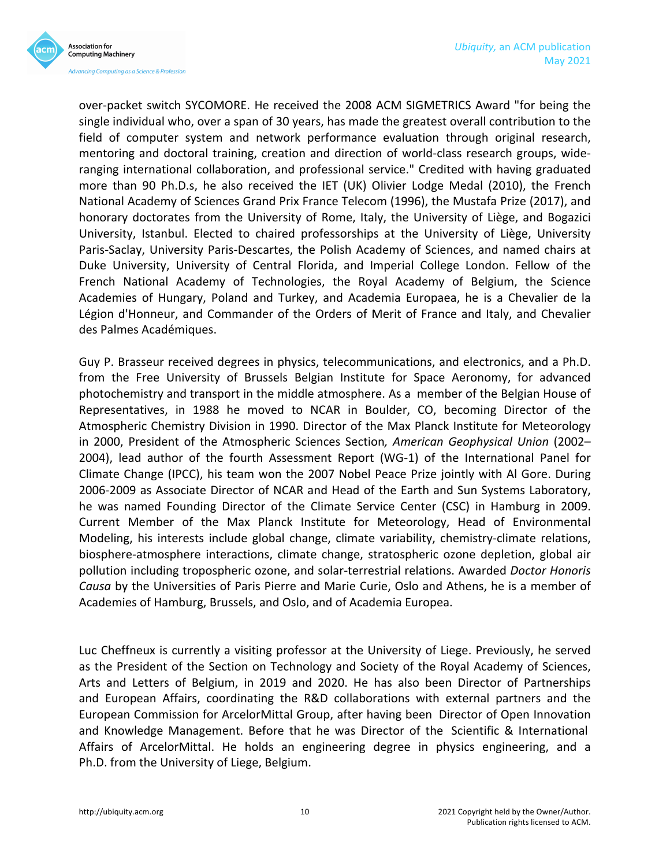

over-packet switch SYCOMORE. He received the 2008 ACM SIGMETRICS Award "for being the single individual who, over a span of 30 years, has made the greatest overall contribution to the field of computer system and network performance evaluation through original research, mentoring and doctoral training, creation and direction of world-class research groups, wideranging international collaboration, and professional service." Credited with having graduated more than 90 Ph.D.s, he also received the IET (UK) Olivier Lodge Medal (2010), the French National Academy of Sciences Grand Prix France Telecom (1996), the Mustafa Prize (2017), and honorary doctorates from the University of Rome, Italy, the University of Liège, and Bogazici University, Istanbul. Elected to chaired professorships at the University of Liège, University Paris-Saclay, University Paris-Descartes, the Polish Academy of Sciences, and named chairs at Duke University, University of Central Florida, and Imperial College London. Fellow of the French National Academy of Technologies, the Royal Academy of Belgium, the Science Academies of Hungary, Poland and Turkey, and Academia Europaea, he is a Chevalier de la Légion d'Honneur, and Commander of the Orders of Merit of France and Italy, and Chevalier des Palmes Académiques.

Guy P. Brasseur received degrees in physics, telecommunications, and electronics, and a Ph.D. from the Free University of Brussels Belgian Institute for Space Aeronomy, for advanced photochemistry and transport in the middle atmosphere. As a member of the Belgian House of Representatives, in 1988 he moved to NCAR in Boulder, CO, becoming Director of the Atmospheric Chemistry Division in 1990. Director of the Max Planck Institute for Meteorology in 2000, President of the Atmospheric Sciences Section, American Geophysical Union (2002– 2004), lead author of the fourth Assessment Report (WG-1) of the International Panel for Climate Change (IPCC), his team won the 2007 Nobel Peace Prize jointly with Al Gore. During 2006-2009 as Associate Director of NCAR and Head of the Earth and Sun Systems Laboratory, he was named Founding Director of the Climate Service Center (CSC) in Hamburg in 2009. Current Member of the Max Planck Institute for Meteorology, Head of Environmental Modeling, his interests include global change, climate variability, chemistry-climate relations, biosphere-atmosphere interactions, climate change, stratospheric ozone depletion, global air pollution including tropospheric ozone, and solar-terrestrial relations. Awarded *Doctor Honoris Causa* by the Universities of Paris Pierre and Marie Curie, Oslo and Athens, he is a member of Academies of Hamburg, Brussels, and Oslo, and of Academia Europea.

Luc Cheffneux is currently a visiting professor at the University of Liege. Previously, he served as the President of the Section on Technology and Society of the Royal Academy of Sciences, Arts and Letters of Belgium, in 2019 and 2020. He has also been Director of Partnerships and European Affairs, coordinating the R&D collaborations with external partners and the European Commission for ArcelorMittal Group, after having been Director of Open Innovation and Knowledge Management. Before that he was Director of the Scientific & International Affairs of ArcelorMittal. He holds an engineering degree in physics engineering, and a Ph.D. from the University of Liege, Belgium.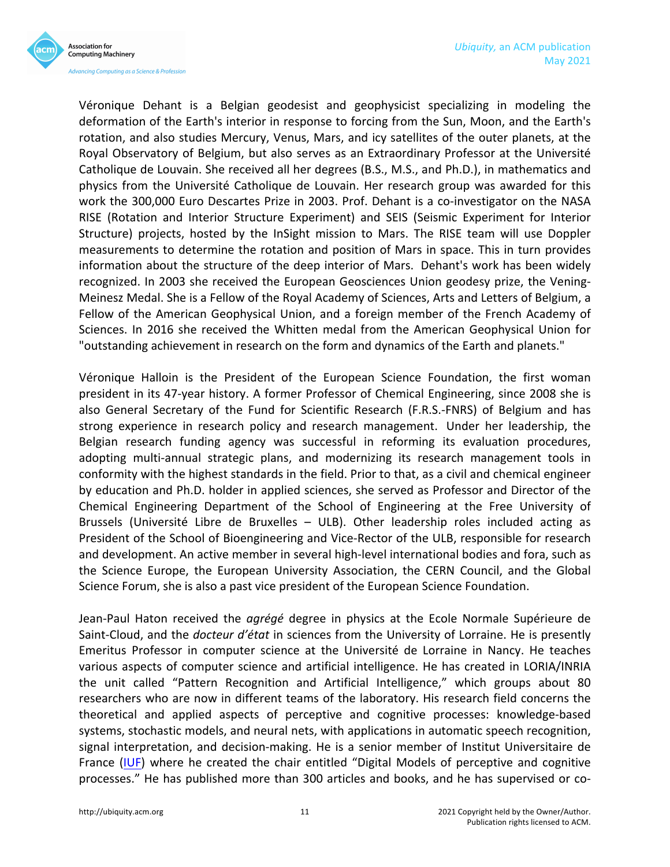

Véronique Dehant is a Belgian geodesist and geophysicist specializing in modeling the deformation of the Earth's interior in response to forcing from the Sun, Moon, and the Earth's rotation, and also studies Mercury, Venus, Mars, and icy satellites of the outer planets, at the Royal Observatory of Belgium, but also serves as an Extraordinary Professor at the Université Catholique de Louvain. She received all her degrees (B.S., M.S., and Ph.D.), in mathematics and physics from the Université Catholique de Louvain. Her research group was awarded for this work the 300,000 Euro Descartes Prize in 2003. Prof. Dehant is a co-investigator on the NASA RISE (Rotation and Interior Structure Experiment) and SEIS (Seismic Experiment for Interior Structure) projects, hosted by the InSight mission to Mars. The RISE team will use Doppler measurements to determine the rotation and position of Mars in space. This in turn provides information about the structure of the deep interior of Mars. Dehant's work has been widely recognized. In 2003 she received the European Geosciences Union geodesy prize, the Vening-Meinesz Medal. She is a Fellow of the Royal Academy of Sciences, Arts and Letters of Belgium, a Fellow of the American Geophysical Union, and a foreign member of the French Academy of Sciences. In 2016 she received the Whitten medal from the American Geophysical Union for "outstanding achievement in research on the form and dynamics of the Earth and planets."

Véronique Halloin is the President of the European Science Foundation, the first woman president in its 47-year history. A former Professor of Chemical Engineering, since 2008 she is also General Secretary of the Fund for Scientific Research (F.R.S.-FNRS) of Belgium and has strong experience in research policy and research management. Under her leadership, the Belgian research funding agency was successful in reforming its evaluation procedures, adopting multi-annual strategic plans, and modernizing its research management tools in conformity with the highest standards in the field. Prior to that, as a civil and chemical engineer by education and Ph.D. holder in applied sciences, she served as Professor and Director of the Chemical Engineering Department of the School of Engineering at the Free University of Brussels (Université Libre de Bruxelles – ULB). Other leadership roles included acting as President of the School of Bioengineering and Vice-Rector of the ULB, responsible for research and development. An active member in several high-level international bodies and fora, such as the Science Europe, the European University Association, the CERN Council, and the Global Science Forum, she is also a past vice president of the European Science Foundation.

Jean-Paul Haton received the *agrégé* degree in physics at the Ecole Normale Supérieure de Saint-Cloud, and the *docteur d'état* in sciences from the University of Lorraine. He is presently Emeritus Professor in computer science at the Université de Lorraine in Nancy. He teaches various aspects of computer science and artificial intelligence. He has created in LORIA/INRIA the unit called "Pattern Recognition and Artificial Intelligence," which groups about 80 researchers who are now in different teams of the laboratory. His research field concerns the theoretical and applied aspects of perceptive and cognitive processes: knowledge-based systems, stochastic models, and neural nets, with applications in automatic speech recognition, signal interpretation, and decision-making. He is a senior member of Institut Universitaire de France (IUF) where he created the chair entitled "Digital Models of perceptive and cognitive processes." He has published more than 300 articles and books, and he has supervised or co-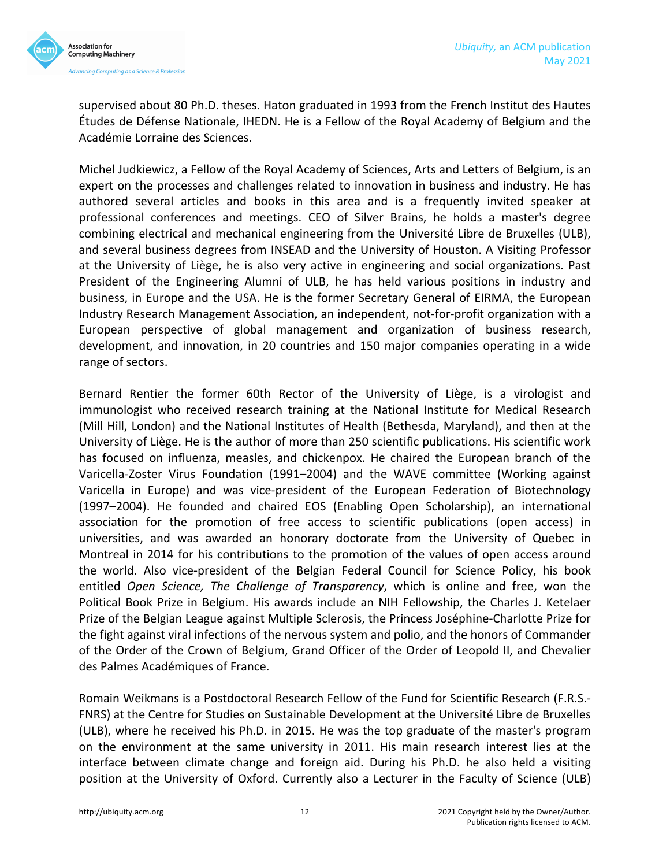

supervised about 80 Ph.D. theses. Haton graduated in 1993 from the French Institut des Hautes Études de Défense Nationale, IHEDN. He is a Fellow of the Royal Academy of Belgium and the Académie Lorraine des Sciences.

Michel Judkiewicz, a Fellow of the Royal Academy of Sciences, Arts and Letters of Belgium, is an expert on the processes and challenges related to innovation in business and industry. He has authored several articles and books in this area and is a frequently invited speaker at professional conferences and meetings. CEO of Silver Brains, he holds a master's degree combining electrical and mechanical engineering from the Université Libre de Bruxelles (ULB), and several business degrees from INSEAD and the University of Houston. A Visiting Professor at the University of Liège, he is also very active in engineering and social organizations. Past President of the Engineering Alumni of ULB, he has held various positions in industry and business, in Europe and the USA. He is the former Secretary General of EIRMA, the European Industry Research Management Association, an independent, not-for-profit organization with a European perspective of global management and organization of business research, development, and innovation, in 20 countries and 150 major companies operating in a wide range of sectors.

Bernard Rentier the former 60th Rector of the University of Liège, is a virologist and immunologist who received research training at the National Institute for Medical Research (Mill Hill, London) and the National Institutes of Health (Bethesda, Maryland), and then at the University of Liège. He is the author of more than 250 scientific publications. His scientific work has focused on influenza, measles, and chickenpox. He chaired the European branch of the Varicella-Zoster Virus Foundation (1991–2004) and the WAVE committee (Working against Varicella in Europe) and was vice-president of the European Federation of Biotechnology (1997–2004). He founded and chaired EOS (Enabling Open Scholarship), an international association for the promotion of free access to scientific publications (open access) in universities, and was awarded an honorary doctorate from the University of Quebec in Montreal in 2014 for his contributions to the promotion of the values of open access around the world. Also vice-president of the Belgian Federal Council for Science Policy, his book entitled *Open Science, The Challenge of Transparency*, which is online and free, won the Political Book Prize in Belgium. His awards include an NIH Fellowship, the Charles J. Ketelaer Prize of the Belgian League against Multiple Sclerosis, the Princess Joséphine-Charlotte Prize for the fight against viral infections of the nervous system and polio, and the honors of Commander of the Order of the Crown of Belgium, Grand Officer of the Order of Leopold II, and Chevalier des Palmes Académiques of France.

Romain Weikmans is a Postdoctoral Research Fellow of the Fund for Scientific Research (F.R.S.-FNRS) at the Centre for Studies on Sustainable Development at the Université Libre de Bruxelles (ULB), where he received his Ph.D. in 2015. He was the top graduate of the master's program on the environment at the same university in 2011. His main research interest lies at the interface between climate change and foreign aid. During his Ph.D. he also held a visiting position at the University of Oxford. Currently also a Lecturer in the Faculty of Science (ULB)